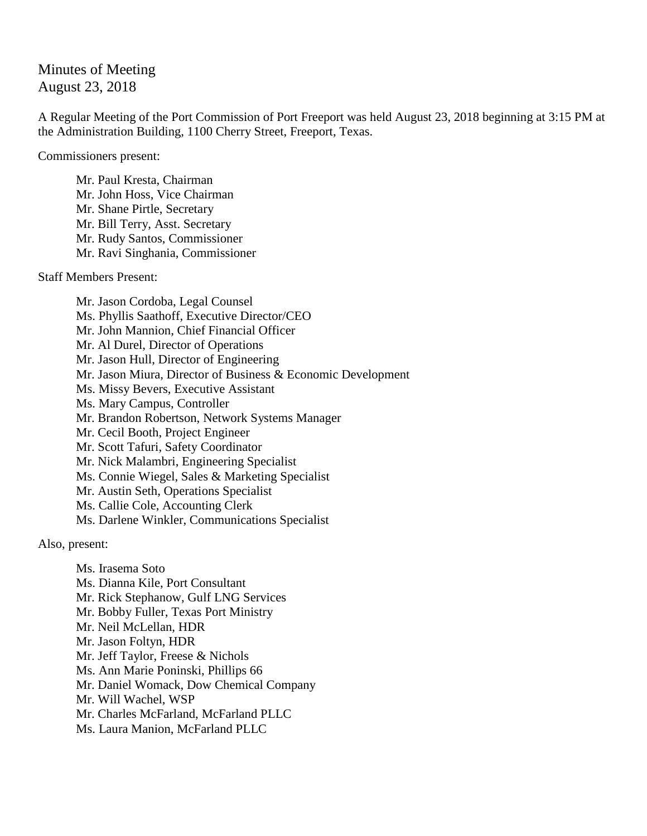## Minutes of Meeting August 23, 2018

A Regular Meeting of the Port Commission of Port Freeport was held August 23, 2018 beginning at 3:15 PM at the Administration Building, 1100 Cherry Street, Freeport, Texas.

Commissioners present:

Mr. Paul Kresta, Chairman Mr. John Hoss, Vice Chairman Mr. Shane Pirtle, Secretary Mr. Bill Terry, Asst. Secretary Mr. Rudy Santos, Commissioner Mr. Ravi Singhania, Commissioner

Staff Members Present:

Mr. Jason Cordoba, Legal Counsel Ms. Phyllis Saathoff, Executive Director/CEO Mr. John Mannion, Chief Financial Officer Mr. Al Durel, Director of Operations Mr. Jason Hull, Director of Engineering Mr. Jason Miura, Director of Business & Economic Development Ms. Missy Bevers, Executive Assistant Ms. Mary Campus, Controller Mr. Brandon Robertson, Network Systems Manager Mr. Cecil Booth, Project Engineer Mr. Scott Tafuri, Safety Coordinator Mr. Nick Malambri, Engineering Specialist Ms. Connie Wiegel, Sales & Marketing Specialist Mr. Austin Seth, Operations Specialist Ms. Callie Cole, Accounting Clerk Ms. Darlene Winkler, Communications Specialist

Also, present:

Ms. Irasema Soto Ms. Dianna Kile, Port Consultant Mr. Rick Stephanow, Gulf LNG Services Mr. Bobby Fuller, Texas Port Ministry Mr. Neil McLellan, HDR Mr. Jason Foltyn, HDR Mr. Jeff Taylor, Freese & Nichols Ms. Ann Marie Poninski, Phillips 66 Mr. Daniel Womack, Dow Chemical Company Mr. Will Wachel, WSP Mr. Charles McFarland, McFarland PLLC Ms. Laura Manion, McFarland PLLC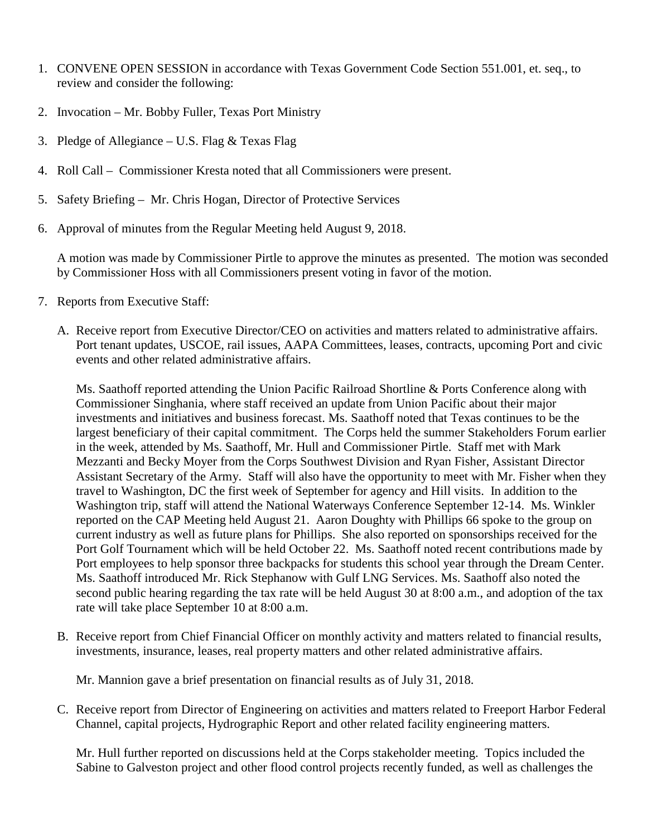- 1. CONVENE OPEN SESSION in accordance with Texas Government Code Section 551.001, et. seq., to review and consider the following:
- 2. Invocation Mr. Bobby Fuller, Texas Port Ministry
- 3. Pledge of Allegiance U.S. Flag & Texas Flag
- 4. Roll Call Commissioner Kresta noted that all Commissioners were present.
- 5. Safety Briefing Mr. Chris Hogan, Director of Protective Services
- 6. Approval of minutes from the Regular Meeting held August 9, 2018.

A motion was made by Commissioner Pirtle to approve the minutes as presented. The motion was seconded by Commissioner Hoss with all Commissioners present voting in favor of the motion.

- 7. Reports from Executive Staff:
	- A. Receive report from Executive Director/CEO on activities and matters related to administrative affairs. Port tenant updates, USCOE, rail issues, AAPA Committees, leases, contracts, upcoming Port and civic events and other related administrative affairs.

Ms. Saathoff reported attending the Union Pacific Railroad Shortline & Ports Conference along with Commissioner Singhania, where staff received an update from Union Pacific about their major investments and initiatives and business forecast. Ms. Saathoff noted that Texas continues to be the largest beneficiary of their capital commitment. The Corps held the summer Stakeholders Forum earlier in the week, attended by Ms. Saathoff, Mr. Hull and Commissioner Pirtle. Staff met with Mark Mezzanti and Becky Moyer from the Corps Southwest Division and Ryan Fisher, Assistant Director Assistant Secretary of the Army. Staff will also have the opportunity to meet with Mr. Fisher when they travel to Washington, DC the first week of September for agency and Hill visits. In addition to the Washington trip, staff will attend the National Waterways Conference September 12-14. Ms. Winkler reported on the CAP Meeting held August 21. Aaron Doughty with Phillips 66 spoke to the group on current industry as well as future plans for Phillips. She also reported on sponsorships received for the Port Golf Tournament which will be held October 22. Ms. Saathoff noted recent contributions made by Port employees to help sponsor three backpacks for students this school year through the Dream Center. Ms. Saathoff introduced Mr. Rick Stephanow with Gulf LNG Services. Ms. Saathoff also noted the second public hearing regarding the tax rate will be held August 30 at 8:00 a.m., and adoption of the tax rate will take place September 10 at 8:00 a.m.

B. Receive report from Chief Financial Officer on monthly activity and matters related to financial results, investments, insurance, leases, real property matters and other related administrative affairs.

Mr. Mannion gave a brief presentation on financial results as of July 31, 2018.

C. Receive report from Director of Engineering on activities and matters related to Freeport Harbor Federal Channel, capital projects, Hydrographic Report and other related facility engineering matters.

Mr. Hull further reported on discussions held at the Corps stakeholder meeting. Topics included the Sabine to Galveston project and other flood control projects recently funded, as well as challenges the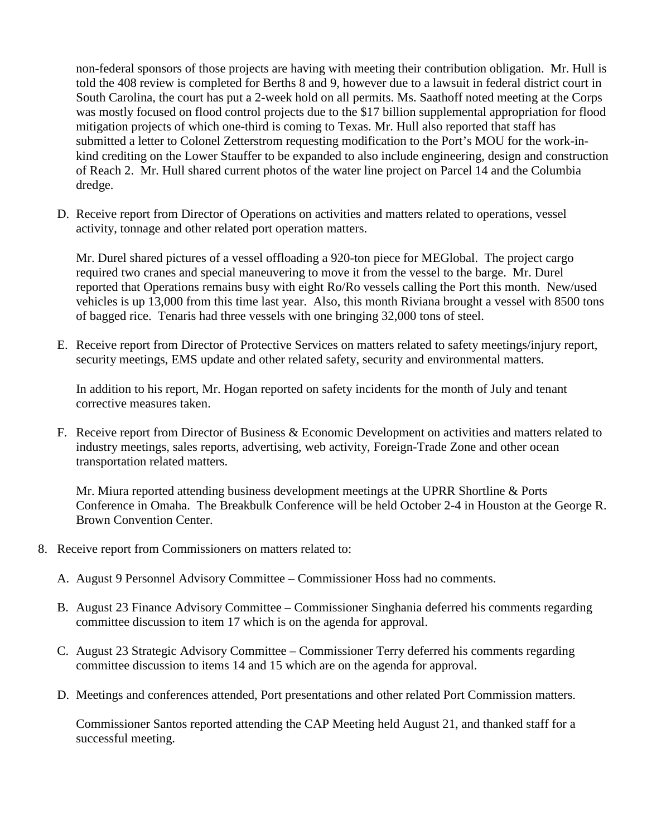non-federal sponsors of those projects are having with meeting their contribution obligation. Mr. Hull is told the 408 review is completed for Berths 8 and 9, however due to a lawsuit in federal district court in South Carolina, the court has put a 2-week hold on all permits. Ms. Saathoff noted meeting at the Corps was mostly focused on flood control projects due to the \$17 billion supplemental appropriation for flood mitigation projects of which one-third is coming to Texas. Mr. Hull also reported that staff has submitted a letter to Colonel Zetterstrom requesting modification to the Port's MOU for the work-inkind crediting on the Lower Stauffer to be expanded to also include engineering, design and construction of Reach 2. Mr. Hull shared current photos of the water line project on Parcel 14 and the Columbia dredge.

D. Receive report from Director of Operations on activities and matters related to operations, vessel activity, tonnage and other related port operation matters.

Mr. Durel shared pictures of a vessel offloading a 920-ton piece for MEGlobal. The project cargo required two cranes and special maneuvering to move it from the vessel to the barge. Mr. Durel reported that Operations remains busy with eight Ro/Ro vessels calling the Port this month. New/used vehicles is up 13,000 from this time last year. Also, this month Riviana brought a vessel with 8500 tons of bagged rice. Tenaris had three vessels with one bringing 32,000 tons of steel.

E. Receive report from Director of Protective Services on matters related to safety meetings/injury report, security meetings, EMS update and other related safety, security and environmental matters.

In addition to his report, Mr. Hogan reported on safety incidents for the month of July and tenant corrective measures taken.

F. Receive report from Director of Business & Economic Development on activities and matters related to industry meetings, sales reports, advertising, web activity, Foreign-Trade Zone and other ocean transportation related matters.

Mr. Miura reported attending business development meetings at the UPRR Shortline & Ports Conference in Omaha. The Breakbulk Conference will be held October 2-4 in Houston at the George R. Brown Convention Center.

- 8. Receive report from Commissioners on matters related to:
	- A. August 9 Personnel Advisory Committee Commissioner Hoss had no comments.
	- B. August 23 Finance Advisory Committee Commissioner Singhania deferred his comments regarding committee discussion to item 17 which is on the agenda for approval.
	- C. August 23 Strategic Advisory Committee Commissioner Terry deferred his comments regarding committee discussion to items 14 and 15 which are on the agenda for approval.
	- D. Meetings and conferences attended, Port presentations and other related Port Commission matters.

Commissioner Santos reported attending the CAP Meeting held August 21, and thanked staff for a successful meeting.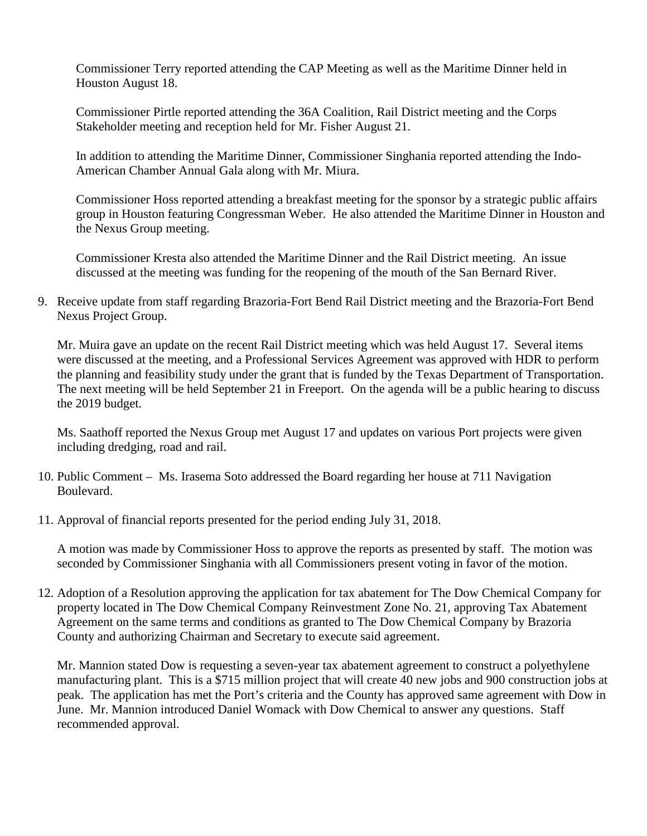Commissioner Terry reported attending the CAP Meeting as well as the Maritime Dinner held in Houston August 18.

Commissioner Pirtle reported attending the 36A Coalition, Rail District meeting and the Corps Stakeholder meeting and reception held for Mr. Fisher August 21.

In addition to attending the Maritime Dinner, Commissioner Singhania reported attending the Indo-American Chamber Annual Gala along with Mr. Miura.

Commissioner Hoss reported attending a breakfast meeting for the sponsor by a strategic public affairs group in Houston featuring Congressman Weber. He also attended the Maritime Dinner in Houston and the Nexus Group meeting.

Commissioner Kresta also attended the Maritime Dinner and the Rail District meeting. An issue discussed at the meeting was funding for the reopening of the mouth of the San Bernard River.

9. Receive update from staff regarding Brazoria-Fort Bend Rail District meeting and the Brazoria-Fort Bend Nexus Project Group.

Mr. Muira gave an update on the recent Rail District meeting which was held August 17. Several items were discussed at the meeting, and a Professional Services Agreement was approved with HDR to perform the planning and feasibility study under the grant that is funded by the Texas Department of Transportation. The next meeting will be held September 21 in Freeport. On the agenda will be a public hearing to discuss the 2019 budget.

Ms. Saathoff reported the Nexus Group met August 17 and updates on various Port projects were given including dredging, road and rail.

- 10. Public Comment Ms. Irasema Soto addressed the Board regarding her house at 711 Navigation Boulevard.
- 11. Approval of financial reports presented for the period ending July 31, 2018.

A motion was made by Commissioner Hoss to approve the reports as presented by staff. The motion was seconded by Commissioner Singhania with all Commissioners present voting in favor of the motion.

12. Adoption of a Resolution approving the application for tax abatement for The Dow Chemical Company for property located in The Dow Chemical Company Reinvestment Zone No. 21, approving Tax Abatement Agreement on the same terms and conditions as granted to The Dow Chemical Company by Brazoria County and authorizing Chairman and Secretary to execute said agreement.

Mr. Mannion stated Dow is requesting a seven-year tax abatement agreement to construct a polyethylene manufacturing plant. This is a \$715 million project that will create 40 new jobs and 900 construction jobs at peak. The application has met the Port's criteria and the County has approved same agreement with Dow in June. Mr. Mannion introduced Daniel Womack with Dow Chemical to answer any questions. Staff recommended approval.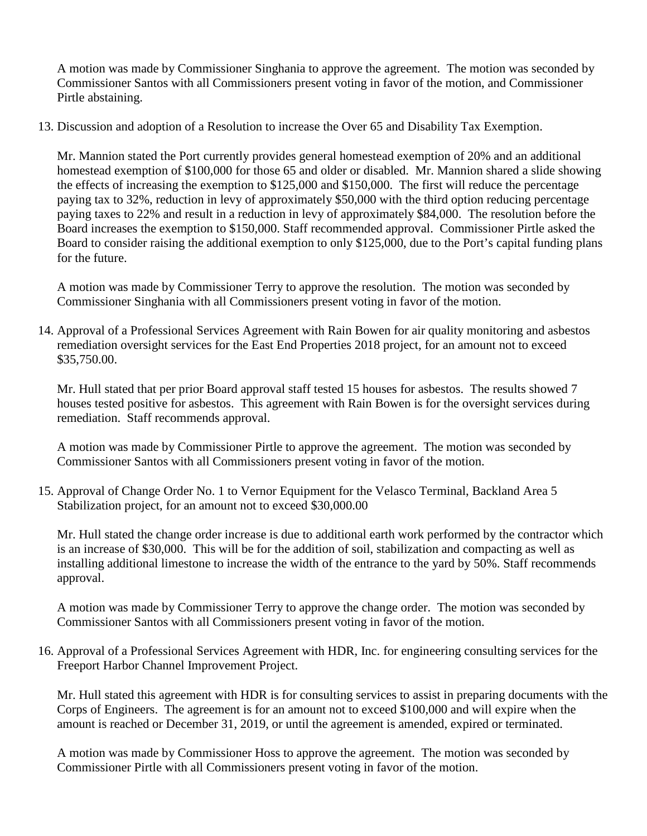A motion was made by Commissioner Singhania to approve the agreement. The motion was seconded by Commissioner Santos with all Commissioners present voting in favor of the motion, and Commissioner Pirtle abstaining.

13. Discussion and adoption of a Resolution to increase the Over 65 and Disability Tax Exemption.

Mr. Mannion stated the Port currently provides general homestead exemption of 20% and an additional homestead exemption of \$100,000 for those 65 and older or disabled. Mr. Mannion shared a slide showing the effects of increasing the exemption to \$125,000 and \$150,000. The first will reduce the percentage paying tax to 32%, reduction in levy of approximately \$50,000 with the third option reducing percentage paying taxes to 22% and result in a reduction in levy of approximately \$84,000. The resolution before the Board increases the exemption to \$150,000. Staff recommended approval. Commissioner Pirtle asked the Board to consider raising the additional exemption to only \$125,000, due to the Port's capital funding plans for the future.

A motion was made by Commissioner Terry to approve the resolution. The motion was seconded by Commissioner Singhania with all Commissioners present voting in favor of the motion.

14. Approval of a Professional Services Agreement with Rain Bowen for air quality monitoring and asbestos remediation oversight services for the East End Properties 2018 project, for an amount not to exceed \$35,750.00.

Mr. Hull stated that per prior Board approval staff tested 15 houses for asbestos. The results showed 7 houses tested positive for asbestos. This agreement with Rain Bowen is for the oversight services during remediation. Staff recommends approval.

A motion was made by Commissioner Pirtle to approve the agreement. The motion was seconded by Commissioner Santos with all Commissioners present voting in favor of the motion.

15. Approval of Change Order No. 1 to Vernor Equipment for the Velasco Terminal, Backland Area 5 Stabilization project, for an amount not to exceed \$30,000.00

Mr. Hull stated the change order increase is due to additional earth work performed by the contractor which is an increase of \$30,000. This will be for the addition of soil, stabilization and compacting as well as installing additional limestone to increase the width of the entrance to the yard by 50%. Staff recommends approval.

A motion was made by Commissioner Terry to approve the change order. The motion was seconded by Commissioner Santos with all Commissioners present voting in favor of the motion.

16. Approval of a Professional Services Agreement with HDR, Inc. for engineering consulting services for the Freeport Harbor Channel Improvement Project.

Mr. Hull stated this agreement with HDR is for consulting services to assist in preparing documents with the Corps of Engineers. The agreement is for an amount not to exceed \$100,000 and will expire when the amount is reached or December 31, 2019, or until the agreement is amended, expired or terminated.

A motion was made by Commissioner Hoss to approve the agreement. The motion was seconded by Commissioner Pirtle with all Commissioners present voting in favor of the motion.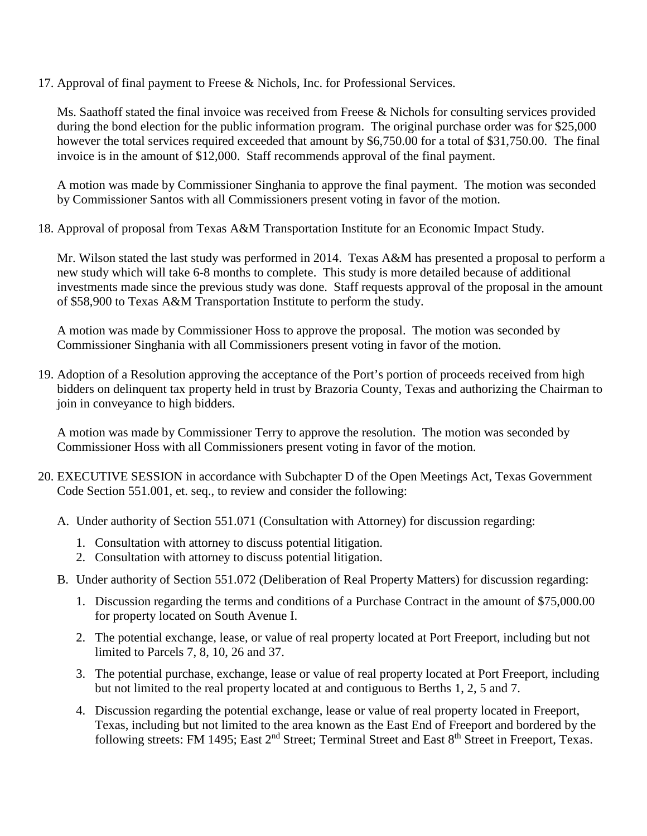17. Approval of final payment to Freese & Nichols, Inc. for Professional Services.

Ms. Saathoff stated the final invoice was received from Freese & Nichols for consulting services provided during the bond election for the public information program. The original purchase order was for \$25,000 however the total services required exceeded that amount by \$6,750.00 for a total of \$31,750.00. The final invoice is in the amount of \$12,000. Staff recommends approval of the final payment.

A motion was made by Commissioner Singhania to approve the final payment. The motion was seconded by Commissioner Santos with all Commissioners present voting in favor of the motion.

18. Approval of proposal from Texas A&M Transportation Institute for an Economic Impact Study.

Mr. Wilson stated the last study was performed in 2014. Texas A&M has presented a proposal to perform a new study which will take 6-8 months to complete. This study is more detailed because of additional investments made since the previous study was done. Staff requests approval of the proposal in the amount of \$58,900 to Texas A&M Transportation Institute to perform the study.

A motion was made by Commissioner Hoss to approve the proposal. The motion was seconded by Commissioner Singhania with all Commissioners present voting in favor of the motion.

19. Adoption of a Resolution approving the acceptance of the Port's portion of proceeds received from high bidders on delinquent tax property held in trust by Brazoria County, Texas and authorizing the Chairman to join in conveyance to high bidders.

A motion was made by Commissioner Terry to approve the resolution. The motion was seconded by Commissioner Hoss with all Commissioners present voting in favor of the motion.

- 20. EXECUTIVE SESSION in accordance with Subchapter D of the Open Meetings Act, Texas Government Code Section 551.001, et. seq., to review and consider the following:
	- A. Under authority of Section 551.071 (Consultation with Attorney) for discussion regarding:
		- 1. Consultation with attorney to discuss potential litigation.
		- 2. Consultation with attorney to discuss potential litigation.
	- B. Under authority of Section 551.072 (Deliberation of Real Property Matters) for discussion regarding:
		- 1. Discussion regarding the terms and conditions of a Purchase Contract in the amount of \$75,000.00 for property located on South Avenue I.
		- 2. The potential exchange, lease, or value of real property located at Port Freeport, including but not limited to Parcels 7, 8, 10, 26 and 37.
		- 3. The potential purchase, exchange, lease or value of real property located at Port Freeport, including but not limited to the real property located at and contiguous to Berths 1, 2, 5 and 7.
		- 4. Discussion regarding the potential exchange, lease or value of real property located in Freeport, Texas, including but not limited to the area known as the East End of Freeport and bordered by the following streets: FM 1495; East 2<sup>nd</sup> Street; Terminal Street and East 8<sup>th</sup> Street in Freeport, Texas.